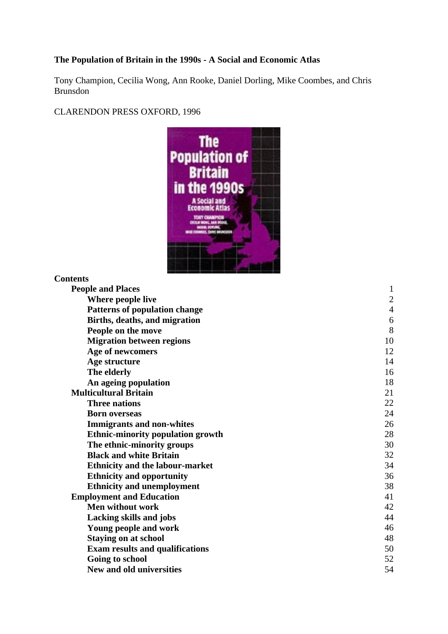## **The Population of Britain in the 1990s - A Social and Economic Atlas**

Tony Champion, Cecilia Wong, Ann Rooke, Daniel Dorling, Mike Coombes, and Chris Brunsdon

CLARENDON PRESS OXFORD, 1996



## **Contents**

| <b>People and Places</b>                 | $\mathbf{1}$   |
|------------------------------------------|----------------|
| Where people live                        | $\mathbf{2}$   |
| <b>Patterns of population change</b>     | $\overline{4}$ |
| Births, deaths, and migration            | 6              |
| People on the move                       | 8              |
| <b>Migration between regions</b>         | 10             |
| Age of newcomers                         | 12             |
| Age structure                            | 14             |
| The elderly                              | 16             |
| An ageing population                     | 18             |
| <b>Multicultural Britain</b>             | 21             |
| <b>Three nations</b>                     | 22             |
| <b>Born overseas</b>                     | 24             |
| <b>Immigrants and non-whites</b>         | 26             |
| <b>Ethnic-minority population growth</b> | 28             |
| The ethnic-minority groups               | 30             |
| <b>Black and white Britain</b>           | 32             |
| <b>Ethnicity and the labour-market</b>   | 34             |
| <b>Ethnicity and opportunity</b>         | 36             |
| <b>Ethnicity and unemployment</b>        | 38             |
| <b>Employment and Education</b>          | 41             |
| Men without work                         | 42             |
| Lacking skills and jobs                  | 44             |
| Young people and work                    | 46             |
| <b>Staying on at school</b>              | 48             |
| <b>Exam results and qualifications</b>   | 50             |
| Going to school                          | 52             |
| <b>New and old universities</b>          | 54             |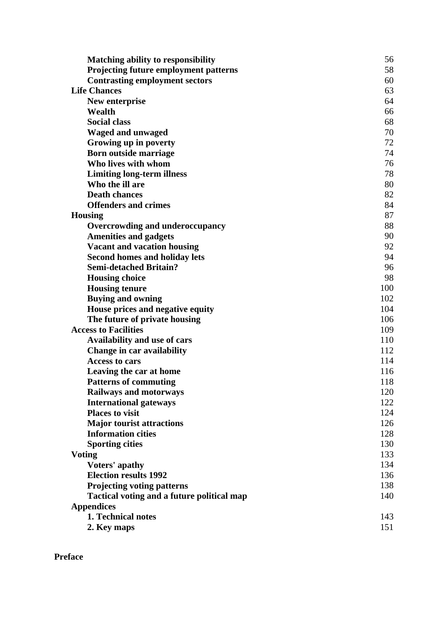| <b>Matching ability to responsibility</b>    | 56  |
|----------------------------------------------|-----|
| <b>Projecting future employment patterns</b> | 58  |
| <b>Contrasting employment sectors</b>        | 60  |
| <b>Life Chances</b>                          | 63  |
| New enterprise                               | 64  |
| Wealth                                       | 66  |
| <b>Social class</b>                          | 68  |
| <b>Waged and unwaged</b>                     | 70  |
| Growing up in poverty                        | 72  |
| <b>Born outside marriage</b>                 | 74  |
| Who lives with whom                          | 76  |
| <b>Limiting long-term illness</b>            | 78  |
| Who the ill are                              | 80  |
| <b>Death chances</b>                         | 82  |
| <b>Offenders and crimes</b>                  | 84  |
| <b>Housing</b>                               | 87  |
| Overcrowding and underoccupancy              | 88  |
| <b>Amenities and gadgets</b>                 | 90  |
| <b>Vacant and vacation housing</b>           | 92  |
| <b>Second homes and holiday lets</b>         | 94  |
| <b>Semi-detached Britain?</b>                | 96  |
| <b>Housing choice</b>                        | 98  |
| <b>Housing tenure</b>                        | 100 |
| <b>Buying and owning</b>                     | 102 |
| House prices and negative equity             | 104 |
| The future of private housing                | 106 |
| <b>Access to Facilities</b>                  | 109 |
| Availability and use of cars                 | 110 |
| Change in car availability                   | 112 |
| <b>Access to cars</b>                        | 114 |
| Leaving the car at home                      | 116 |
| <b>Patterns of commuting</b>                 | 118 |
| <b>Railways and motorways</b>                | 120 |
| <b>International gateways</b>                | 122 |
| <b>Places to visit</b>                       | 124 |
| <b>Major tourist attractions</b>             | 126 |
| <b>Information cities</b>                    | 128 |
| <b>Sporting cities</b>                       | 130 |
| <b>Voting</b>                                | 133 |
| Voters' apathy                               | 134 |
| <b>Election results 1992</b>                 | 136 |
| <b>Projecting voting patterns</b>            | 138 |
| Tactical voting and a future political map   | 140 |
| <b>Appendices</b>                            |     |
| 1. Technical notes                           | 143 |
| 2. Key maps                                  | 151 |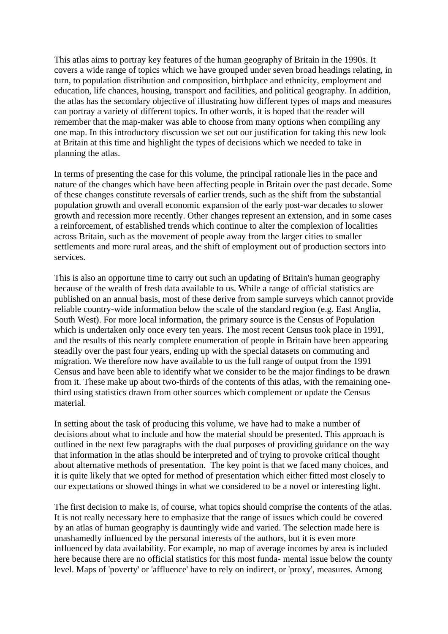This atlas aims to portray key features of the human geography of Britain in the 1990s. It covers a wide range of topics which we have grouped under seven broad headings relating, in turn, to population distribution and composition, birthplace and ethnicity, employment and education, life chances, housing, transport and facilities, and political geography. In addition, the atlas has the secondary objective of illustrating how different types of maps and measures can portray a variety of different topics. In other words, it is hoped that the reader will remember that the map-maker was able to choose from many options when compiling any one map. In this introductory discussion we set out our justification for taking this new look at Britain at this time and highlight the types of decisions which we needed to take in planning the atlas.

In terms of presenting the case for this volume, the principal rationale lies in the pace and nature of the changes which have been affecting people in Britain over the past decade. Some of these changes constitute reversals of earlier trends, such as the shift from the substantial population growth and overall economic expansion of the early post-war decades to slower growth and recession more recently. Other changes represent an extension, and in some cases a reinforcement, of established trends which continue to alter the complexion of localities across Britain, such as the movement of people away from the larger cities to smaller settlements and more rural areas, and the shift of employment out of production sectors into services.

This is also an opportune time to carry out such an updating of Britain's human geography because of the wealth of fresh data available to us. While a range of official statistics are published on an annual basis, most of these derive from sample surveys which cannot provide reliable country-wide information below the scale of the standard region (e.g. East Anglia, South West). For more local information, the primary source is the Census of Population which is undertaken only once every ten years. The most recent Census took place in 1991, and the results of this nearly complete enumeration of people in Britain have been appearing steadily over the past four years, ending up with the special datasets on commuting and migration. We therefore now have available to us the full range of output from the 1991 Census and have been able to identify what we consider to be the major findings to be drawn from it. These make up about two-thirds of the contents of this atlas, with the remaining onethird using statistics drawn from other sources which complement or update the Census material.

In setting about the task of producing this volume, we have had to make a number of decisions about what to include and how the material should be presented. This approach is outlined in the next few paragraphs with the dual purposes of providing guidance on the way that information in the atlas should be interpreted and of trying to provoke critical thought about alternative methods of presentation. The key point is that we faced many choices, and it is quite likely that we opted for method of presentation which either fitted most closely to our expectations or showed things in what we considered to be a novel or interesting light.

The first decision to make is, of course, what topics should comprise the contents of the atlas. It is not really necessary here to emphasize that the range of issues which could be covered by an atlas of human geography is dauntingly wide and varied. The selection made here is unashamedly influenced by the personal interests of the authors, but it is even more influenced by data availability. For example, no map of average incomes by area is included here because there are no official statistics for this most funda- mental issue below the county level. Maps of 'poverty' or 'affluence' have to rely on indirect, or 'proxy', measures. Among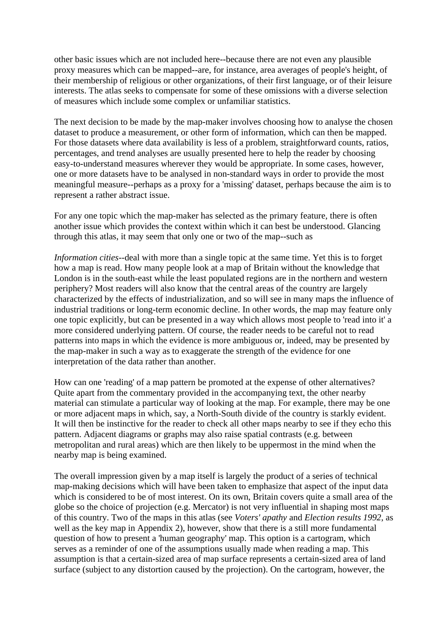other basic issues which are not included here--because there are not even any plausible proxy measures which can be mapped--are, for instance, area averages of people's height, of their membership of religious or other organizations, of their first language, or of their leisure interests. The atlas seeks to compensate for some of these omissions with a diverse selection of measures which include some complex or unfamiliar statistics.

The next decision to be made by the map-maker involves choosing how to analyse the chosen dataset to produce a measurement, or other form of information, which can then be mapped. For those datasets where data availability is less of a problem, straightforward counts, ratios, percentages, and trend analyses are usually presented here to help the reader by choosing easy-to-understand measures wherever they would be appropriate. In some cases, however, one or more datasets have to be analysed in non-standard ways in order to provide the most meaningful measure--perhaps as a proxy for a 'missing' dataset, perhaps because the aim is to represent a rather abstract issue.

For any one topic which the map-maker has selected as the primary feature, there is often another issue which provides the context within which it can best be understood. Glancing through this atlas, it may seem that only one or two of the map--such as

*Information cities*--deal with more than a single topic at the same time. Yet this is to forget how a map is read. How many people look at a map of Britain without the knowledge that London is in the south-east while the least populated regions are in the northern and western periphery? Most readers will also know that the central areas of the country are largely characterized by the effects of industrialization, and so will see in many maps the influence of industrial traditions or long-term economic decline. In other words, the map may feature only one topic explicitly, but can be presented in a way which allows most people to 'read into it' a more considered underlying pattern. Of course, the reader needs to be careful not to read patterns into maps in which the evidence is more ambiguous or, indeed, may be presented by the map-maker in such a way as to exaggerate the strength of the evidence for one interpretation of the data rather than another.

How can one 'reading' of a map pattern be promoted at the expense of other alternatives? Quite apart from the commentary provided in the accompanying text, the other nearby material can stimulate a particular way of looking at the map. For example, there may be one or more adjacent maps in which, say, a North-South divide of the country is starkly evident. It will then be instinctive for the reader to check all other maps nearby to see if they echo this pattern. Adjacent diagrams or graphs may also raise spatial contrasts (e.g. between metropolitan and rural areas) which are then likely to be uppermost in the mind when the nearby map is being examined.

The overall impression given by a map itself is largely the product of a series of technical map-making decisions which will have been taken to emphasize that aspect of the input data which is considered to be of most interest. On its own, Britain covers quite a small area of the globe so the choice of projection (e.g. Mercator) is not very influential in shaping most maps of this country. Two of the maps in this atlas (see *Voters' apathy* and *Election results 1992*, as well as the key map in Appendix 2), however, show that there is a still more fundamental question of how to present a 'human geography' map. This option is a cartogram, which serves as a reminder of one of the assumptions usually made when reading a map. This assumption is that a certain-sized area of map surface represents a certain-sized area of land surface (subject to any distortion caused by the projection). On the cartogram, however, the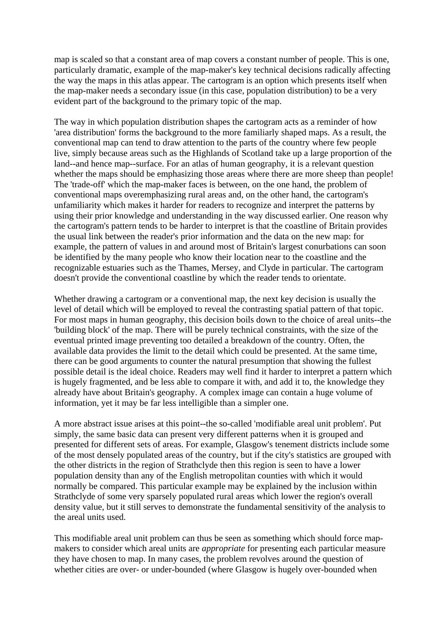map is scaled so that a constant area of map covers a constant number of people. This is one, particularly dramatic, example of the map-maker's key technical decisions radically affecting the way the maps in this atlas appear. The cartogram is an option which presents itself when the map-maker needs a secondary issue (in this case, population distribution) to be a very evident part of the background to the primary topic of the map.

The way in which population distribution shapes the cartogram acts as a reminder of how 'area distribution' forms the background to the more familiarly shaped maps. As a result, the conventional map can tend to draw attention to the parts of the country where few people live, simply because areas such as the Highlands of Scotland take up a large proportion of the land--and hence map--surface. For an atlas of human geography, it is a relevant question whether the maps should be emphasizing those areas where there are more sheep than people! The 'trade-off' which the map-maker faces is between, on the one hand, the problem of conventional maps overemphasizing rural areas and, on the other hand, the cartogram's unfamiliarity which makes it harder for readers to recognize and interpret the patterns by using their prior knowledge and understanding in the way discussed earlier. One reason why the cartogram's pattern tends to be harder to interpret is that the coastline of Britain provides the usual link between the reader's prior information and the data on the new map: for example, the pattern of values in and around most of Britain's largest conurbations can soon be identified by the many people who know their location near to the coastline and the recognizable estuaries such as the Thames, Mersey, and Clyde in particular. The cartogram doesn't provide the conventional coastline by which the reader tends to orientate.

Whether drawing a cartogram or a conventional map, the next key decision is usually the level of detail which will be employed to reveal the contrasting spatial pattern of that topic. For most maps in human geography, this decision boils down to the choice of areal units--the 'building block' of the map. There will be purely technical constraints, with the size of the eventual printed image preventing too detailed a breakdown of the country. Often, the available data provides the limit to the detail which could be presented. At the same time, there can be good arguments to counter the natural presumption that showing the fullest possible detail is the ideal choice. Readers may well find it harder to interpret a pattern which is hugely fragmented, and be less able to compare it with, and add it to, the knowledge they already have about Britain's geography. A complex image can contain a huge volume of information, yet it may be far less intelligible than a simpler one.

A more abstract issue arises at this point--the so-called 'modifiable areal unit problem'. Put simply, the same basic data can present very different patterns when it is grouped and presented for different sets of areas. For example, Glasgow's tenement districts include some of the most densely populated areas of the country, but if the city's statistics are grouped with the other districts in the region of Strathclyde then this region is seen to have a lower population density than any of the English metropolitan counties with which it would normally be compared. This particular example may be explained by the inclusion within Strathclyde of some very sparsely populated rural areas which lower the region's overall density value, but it still serves to demonstrate the fundamental sensitivity of the analysis to the areal units used.

This modifiable areal unit problem can thus be seen as something which should force mapmakers to consider which areal units are *appropriate* for presenting each particular measure they have chosen to map. In many cases, the problem revolves around the question of whether cities are over- or under-bounded (where Glasgow is hugely over-bounded when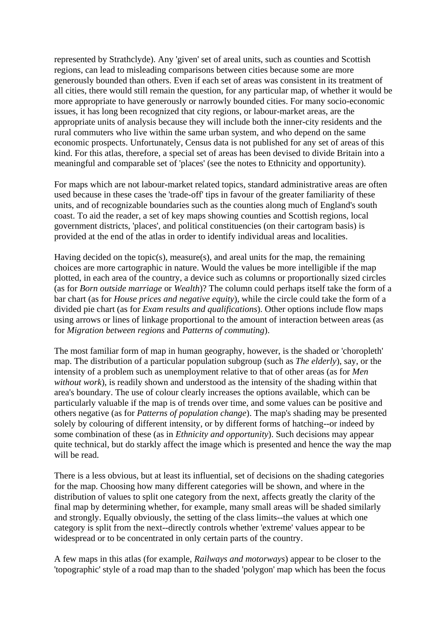represented by Strathclyde). Any 'given' set of areal units, such as counties and Scottish regions, can lead to misleading comparisons between cities because some are more generously bounded than others. Even if each set of areas was consistent in its treatment of all cities, there would still remain the question, for any particular map, of whether it would be more appropriate to have generously or narrowly bounded cities. For many socio-economic issues, it has long been recognized that city regions, or labour-market areas, are the appropriate units of analysis because they will include both the inner-city residents and the rural commuters who live within the same urban system, and who depend on the same economic prospects. Unfortunately, Census data is not published for any set of areas of this kind. For this atlas, therefore, a special set of areas has been devised to divide Britain into a meaningful and comparable set of 'places' (see the notes to Ethnicity and opportunity).

For maps which are not labour-market related topics, standard administrative areas are often used because in these cases the 'trade-off' tips in favour of the greater familiarity of these units, and of recognizable boundaries such as the counties along much of England's south coast. To aid the reader, a set of key maps showing counties and Scottish regions, local government districts, 'places', and political constituencies (on their cartogram basis) is provided at the end of the atlas in order to identify individual areas and localities.

Having decided on the topic(s), measure(s), and areal units for the map, the remaining choices are more cartographic in nature. Would the values be more intelligible if the map plotted, in each area of the country, a device such as columns or proportionally sized circles (as for *Born outside marriage* or *Wealth*)? The column could perhaps itself take the form of a bar chart (as for *House prices and negative equity*), while the circle could take the form of a divided pie chart (as for *Exam results and qualifications*). Other options include flow maps using arrows or lines of linkage proportional to the amount of interaction between areas (as for *Migration between regions* and *Patterns of commuting*).

The most familiar form of map in human geography, however, is the shaded or 'choropleth' map. The distribution of a particular population subgroup (such as *The elderly*), say, or the intensity of a problem such as unemployment relative to that of other areas (as for *Men without work*), is readily shown and understood as the intensity of the shading within that area's boundary. The use of colour clearly increases the options available, which can be particularly valuable if the map is of trends over time, and some values can be positive and others negative (as for *Patterns of population change*). The map's shading may be presented solely by colouring of different intensity, or by different forms of hatching--or indeed by some combination of these (as in *Ethnicity and opportunity*). Such decisions may appear quite technical, but do starkly affect the image which is presented and hence the way the map will be read.

There is a less obvious, but at least its influential, set of decisions on the shading categories for the map. Choosing how many different categories will be shown, and where in the distribution of values to split one category from the next, affects greatly the clarity of the final map by determining whether, for example, many small areas will be shaded similarly and strongly. Equally obviously, the setting of the class limits--the values at which one category is split from the next--directly controls whether 'extreme' values appear to be widespread or to be concentrated in only certain parts of the country.

A few maps in this atlas (for example, *Railways and motorways*) appear to be closer to the 'topographic' style of a road map than to the shaded 'polygon' map which has been the focus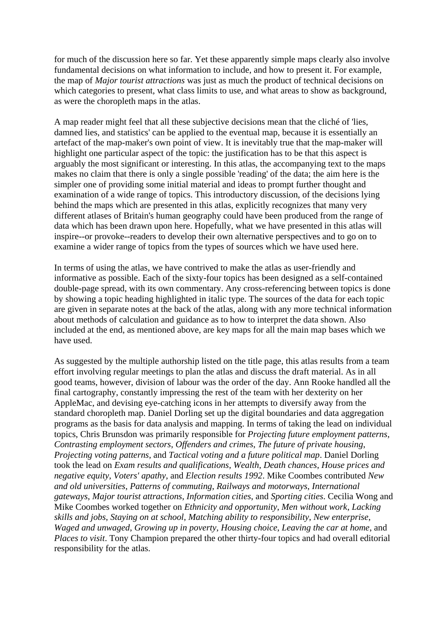for much of the discussion here so far. Yet these apparently simple maps clearly also involve fundamental decisions on what information to include, and how to present it. For example, the map of *Major tourist attractions* was just as much the product of technical decisions on which categories to present, what class limits to use, and what areas to show as background, as were the choropleth maps in the atlas.

A map reader might feel that all these subjective decisions mean that the cliché of 'lies, damned lies, and statistics' can be applied to the eventual map, because it is essentially an artefact of the map-maker's own point of view. It is inevitably true that the map-maker will highlight one particular aspect of the topic: the justification has to be that this aspect is arguably the most significant or interesting. In this atlas, the accompanying text to the maps makes no claim that there is only a single possible 'reading' of the data; the aim here is the simpler one of providing some initial material and ideas to prompt further thought and examination of a wide range of topics. This introductory discussion, of the decisions lying behind the maps which are presented in this atlas, explicitly recognizes that many very different atlases of Britain's human geography could have been produced from the range of data which has been drawn upon here. Hopefully, what we have presented in this atlas will inspire--or provoke--readers to develop their own alternative perspectives and to go on to examine a wider range of topics from the types of sources which we have used here.

In terms of using the atlas, we have contrived to make the atlas as user-friendly and informative as possible. Each of the sixty-four topics has been designed as a self-contained double-page spread, with its own commentary. Any cross-referencing between topics is done by showing a topic heading highlighted in italic type. The sources of the data for each topic are given in separate notes at the back of the atlas, along with any more technical information about methods of calculation and guidance as to how to interpret the data shown. Also included at the end, as mentioned above, are key maps for all the main map bases which we have used.

As suggested by the multiple authorship listed on the title page, this atlas results from a team effort involving regular meetings to plan the atlas and discuss the draft material. As in all good teams, however, division of labour was the order of the day. Ann Rooke handled all the final cartography, constantly impressing the rest of the team with her dexterity on her AppleMac, and devising eye-catching icons in her attempts to diversify away from the standard choropleth map. Daniel Dorling set up the digital boundaries and data aggregation programs as the basis for data analysis and mapping. In terms of taking the lead on individual topics, Chris Brunsdon was primarily responsible for *Projecting future employment patterns*, *Contrasting employment sectors*, *Offenders and crimes*, *The future of private housing*, *Projecting voting patterns*, and *Tactical voting and a future political map*. Daniel Dorling took the lead on *Exam results and qualifications*, *Wealth*, *Death chances*, *House prices and negative equity*, *Voters' apathy*, and *Election results 1992*. Mike Coombes contributed *New and old universities*, *Patterns of commuting*, *Railways and motorways*, *International gateways*, *Major tourist attractions*, *Information cities*, and *Sporting cities*. Cecilia Wong and Mike Coombes worked together on *Ethnicity and opportunity*, *Men without work*, *Lacking skills and jobs*, *Staying on at school*, *Matching ability to responsibility*, *New enterprise*, *Waged and unwaged*, *Growing up in poverty*, *Housing choice*, *Leaving the car at home*, and *Places to visit*. Tony Champion prepared the other thirty-four topics and had overall editorial responsibility for the atlas.